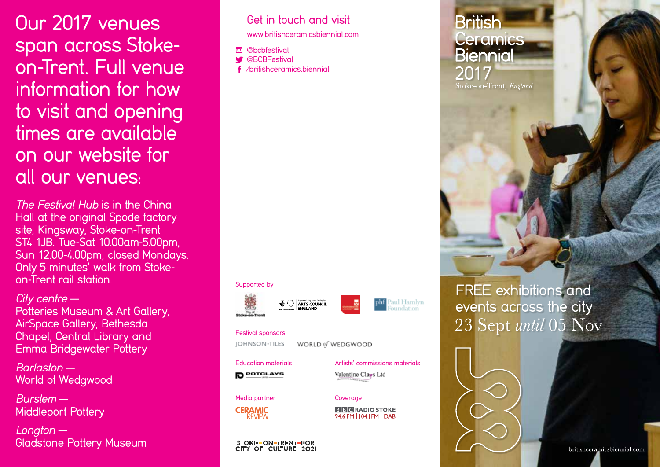**Our 2017 venues Get in touch and visit** span across Stokeon-Trent. Full venue information for how to visit and opening times are available on our website for all our venues:

The Festival Hub is in the China Hall at the original Spode factory site, Kingsway, Stoke-on-Trent ST4 1JB. Tue-Sat 10.00am-5.00pm, Sun 12.00-4.00pm, closed Mondays. Only 5 minutes' walk from Stokeon-Trent rail station.

#### City centre —

Potteries Museum & Art Gallery, AirSpace Gallery, Bethesda Chapel, Central Library and Emma Bridgewater Pottery

Barlaston — World of Wedgwood

Burslem — Middleport Pottery

Longton — Gladstone Pottery Museum

## www.britishceramicsbiennial.com

*<u>Ohchfestival</u>* **W** @BCBFestival

/britishceramics.biennial

#### Supported by

Festival sponsors

**JOHNSON-TILES** 

**POTCLAYS** 





Education materials Artists' commissions materials

Valentine Clays Ltd

WORLD of WEDGWOOD

Media partner Coverage



**BBC** RADIO STOKE 94.6 FM | 104.1 FM | DAB

#### STOKE-ON-TRENT-FOR<br>CITY-OF-CULTURE-2021

### **British Ceramics Biennial** 2017 Stoke-on-Trent, England

FREE exhibitions and events across the city<br>23 Sept until 05 Nov